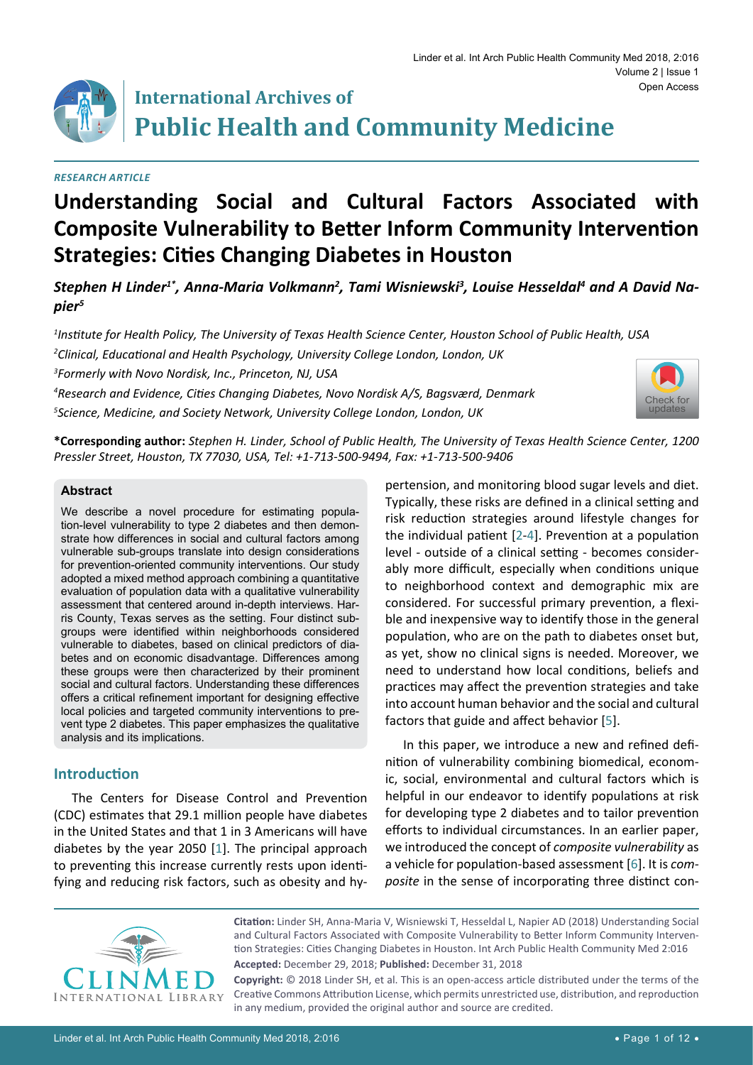

# **International Archives of Public Health and Community Medicine**

#### *Research Article*

## **Understanding Social and Cultural Factors Associated with Composite Vulnerability to Better Inform Community Intervention Strategies: Cities Changing Diabetes in Houston**

Stephen H Linder<sup>1\*</sup>, Anna-Maria Volkmann<sup>2</sup>, Tami Wisniewski<sup>3</sup>, Louise Hesseldal<sup>4</sup> and A David Na*pier5*

*1 Institute for Health Policy, The University of Texas Health Science Center, Houston School of Public Health, USA*

*2 Clinical, Educational and Health Psychology, University College London, London, UK*

*3 Formerly with Novo Nordisk, Inc., Princeton, NJ, USA* 

*4 Research and Evidence, Cities Changing Diabetes, Novo Nordisk A/S, Bagsværd, Denmark* 

*5 Science, Medicine, and Society Network, University College London, London, UK*



**\*Corresponding author:** *Stephen H. Linder, School of Public Health, The University of Texas Health Science Center, 1200 Pressler Street, Houston, TX 77030, USA, Tel: +1-713-500-9494, Fax: +1-713-500-9406*

#### **Abstract**

We describe a novel procedure for estimating population-level vulnerability to type 2 diabetes and then demonstrate how differences in social and cultural factors among vulnerable sub-groups translate into design considerations for prevention-oriented community interventions. Our study adopted a mixed method approach combining a quantitative evaluation of population data with a qualitative vulnerability assessment that centered around in-depth interviews. Harris County, Texas serves as the setting. Four distinct subgroups were identified within neighborhoods considered vulnerable to diabetes, based on clinical predictors of diabetes and on economic disadvantage. Differences among these groups were then characterized by their prominent social and cultural factors. Understanding these differences offers a critical refinement important for designing effective local policies and targeted community interventions to prevent type 2 diabetes. This paper emphasizes the qualitative analysis and its implications.

## **Introduction**

The Centers for Disease Control and Prevention (CDC) estimates that 29.1 million people have diabetes in the United States and that 1 in 3 Americans will have diabetes by the year 2050 [\[1](#page-10-4)]. The principal approach to preventing this increase currently rests upon identifying and reducing risk factors, such as obesity and hypertension, and monitoring blood sugar levels and diet. Typically, these risks are defined in a clinical setting and risk reduction strategies around lifestyle changes for the individual patient [[2](#page-10-0)-[4](#page-10-1)]. Prevention at a population level - outside of a clinical setting - becomes considerably more difficult, especially when conditions unique to neighborhood context and demographic mix are considered. For successful primary prevention, a flexible and inexpensive way to identify those in the general population, who are on the path to diabetes onset but, as yet, show no clinical signs is needed. Moreover, we need to understand how local conditions, beliefs and practices may affect the prevention strategies and take into account human behavior and the social and cultural factors that guide and affect behavior [[5](#page-10-2)].

In this paper, we introduce a new and refined definition of vulnerability combining biomedical, economic, social, environmental and cultural factors which is helpful in our endeavor to identify populations at risk for developing type 2 diabetes and to tailor prevention efforts to individual circumstances. In an earlier paper, we introduced the concept of *composite vulnerability* as a vehicle for population-based assessment [[6\]](#page-10-3). It is *composite* in the sense of incorporating three distinct con-



**Citation:** Linder SH, Anna-Maria V, Wisniewski T, Hesseldal L, Napier AD (2018) Understanding Social and Cultural Factors Associated with Composite Vulnerability to Better Inform Community Intervention Strategies: Cities Changing Diabetes in Houston. Int Arch Public Health Community Med 2:016 **Accepted:** December 29, 2018; **Published:** December 31, 2018

**Copyright:** © 2018 Linder SH, et al. This is an open-access article distributed under the terms of the Creative Commons Attribution License, which permits unrestricted use, distribution, and reproduction in any medium, provided the original author and source are credited.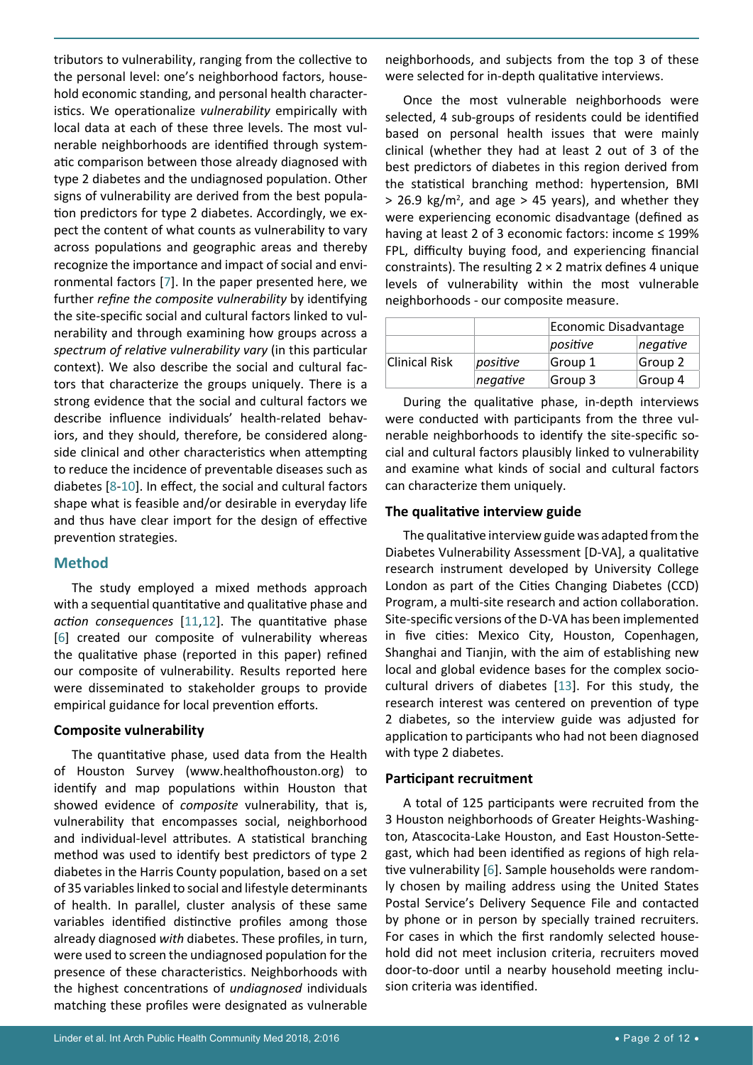**Composite vulnerability** The quantitative phase, used data from the Health of Houston Survey [\(www.healthofhouston.org\)](http://www.healthofhouston.org) to identify and map populations within Houston that showed evidence of *composite* vulnerability, that is, vulnerability that encompasses social, neighborhood and individual-level attributes. A statistical branching method was used to identify best predictors of type 2 diabetes in the Harris County population, based on a set of 35 variables linked to social and lifestyle determinants of health. In parallel, cluster analysis of these same variables identified distinctive profiles among those already diagnosed *with* diabetes. These profiles, in turn, were used to screen the undiagnosed population for the presence of these characteristics. Neighborhoods with

tributors to vulnerability, ranging from the collective to the personal level: one's neighborhood factors, household economic standing, and personal health characteristics. We operationalize *vulnerability* empirically with local data at each of these three levels. The most vulnerable neighborhoods are identified through systematic comparison between those already diagnosed with type 2 diabetes and the undiagnosed population. Other signs of vulnerability are derived from the best population predictors for type 2 diabetes. Accordingly, we expect the content of what counts as vulnerability to vary across populations and geographic areas and thereby recognize the importance and impact of social and environmental factors [[7](#page-10-6)]. In the paper presented here, we further *refine the composite vulnerability* by identifying the site-specific social and cultural factors linked to vulnerability and through examining how groups across a *spectrum of relative vulnerability vary* (in this particular context). We also describe the social and cultural factors that characterize the groups uniquely. There is a strong evidence that the social and cultural factors we describe influence individuals' health-related behaviors, and they should, therefore, be considered alongside clinical and other characteristics when attempting to reduce the incidence of preventable diseases such as diabetes [[8](#page-10-7)-[10\]](#page-10-8). In effect, the social and cultural factors shape what is feasible and/or desirable in everyday life and thus have clear import for the design of effective

## **Method**

prevention strategies.

The study employed a mixed methods approach with a sequential quantitative and qualitative phase and *action consequences* [[11](#page-10-9),[12\]](#page-10-10). The quantitative phase [[6](#page-10-3)] created our composite of vulnerability whereas the qualitative phase (reported in this paper) refined our composite of vulnerability. Results reported here were disseminated to stakeholder groups to provide empirical guidance for local prevention efforts.

neighborhoods, and subjects from the top 3 of these were selected for in-depth qualitative interviews.

Once the most vulnerable neighborhoods were selected, 4 sub-groups of residents could be identified based on personal health issues that were mainly clinical (whether they had at least 2 out of 3 of the best predictors of diabetes in this region derived from the statistical branching method: hypertension, BMI  $>$  26.9 kg/m<sup>2</sup>, and age  $>$  45 years), and whether they were experiencing economic disadvantage (defined as having at least 2 of 3 economic factors: income ≤ 199% FPL, difficulty buying food, and experiencing financial constraints). The resulting  $2 \times 2$  matrix defines 4 unique levels of vulnerability within the most vulnerable neighborhoods - our composite measure.

|               |          | Economic Disadvantage |          |  |
|---------------|----------|-----------------------|----------|--|
|               |          | positive              | negative |  |
| Clinical Risk | positive | Group 1               | Group 2  |  |
|               | negative | Group 3               | Group 4  |  |

During the qualitative phase, in-depth interviews were conducted with participants from the three vulnerable neighborhoods to identify the site-specific social and cultural factors plausibly linked to vulnerability and examine what kinds of social and cultural factors can characterize them uniquely.

## **The qualitative interview guide**

The qualitative interview guide was adapted from the Diabetes Vulnerability Assessment [D-VA], a qualitative research instrument developed by University College London as part of the Cities Changing Diabetes (CCD) Program, a multi-site research and action collaboration. Site-specific versions of the D-VA has been implemented in five cities: Mexico City, Houston, Copenhagen, Shanghai and Tianjin, with the aim of establishing new local and global evidence bases for the complex sociocultural drivers of diabetes [\[13](#page-10-5)]. For this study, the research interest was centered on prevention of type 2 diabetes, so the interview guide was adjusted for application to participants who had not been diagnosed with type 2 diabetes.

## **Participant recruitment**

A total of 125 participants were recruited from the 3 Houston neighborhoods of Greater Heights-Washington, Atascocita-Lake Houston, and East Houston-Settegast, which had been identified as regions of high relative vulnerability [[6](#page-10-3)]. Sample households were randomly chosen by mailing address using the United States Postal Service's Delivery Sequence File and contacted by phone or in person by specially trained recruiters. For cases in which the first randomly selected household did not meet inclusion criteria, recruiters moved door-to-door until a nearby household meeting inclusion criteria was identified.

the highest concentrations of *undiagnosed* individuals matching these profiles were designated as vulnerable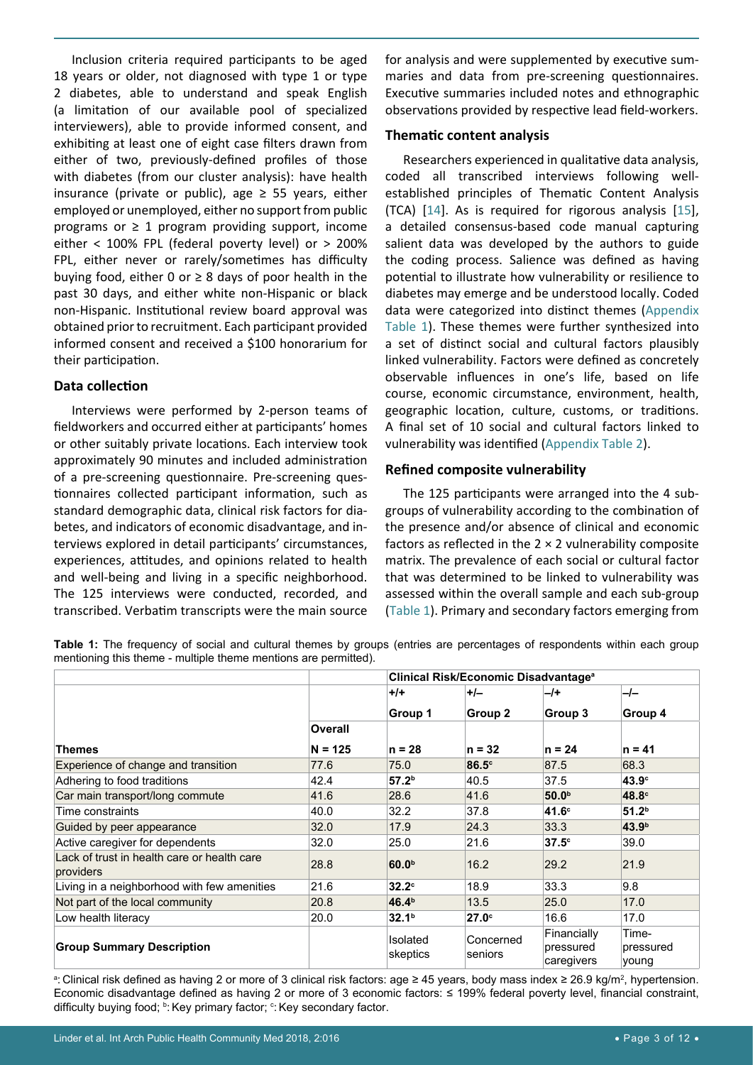Inclusion criteria required participants to be aged 18 years or older, not diagnosed with type 1 or type 2 diabetes, able to understand and speak English (a limitation of our available pool of specialized interviewers), able to provide informed consent, and exhibiting at least one of eight case filters drawn from either of two, previously-defined profiles of those with diabetes (from our cluster analysis): have health insurance (private or public), age  $\geq$  55 years, either employed or unemployed, either no support from public programs or  $\geq 1$  program providing support, income either < 100% FPL (federal poverty level) or > 200% FPL, either never or rarely/sometimes has difficulty buying food, either 0 or  $\geq$  8 days of poor health in the past 30 days, and either white non-Hispanic or black non-Hispanic. Institutional review board approval was obtained prior to recruitment. Each participant provided informed consent and received a \$100 honorarium for their participation.

## **Data collection**

Interviews were performed by 2-person teams of fieldworkers and occurred either at participants' homes or other suitably private locations. Each interview took approximately 90 minutes and included administration of a pre-screening questionnaire. Pre-screening questionnaires collected participant information, such as standard demographic data, clinical risk factors for diabetes, and indicators of economic disadvantage, and interviews explored in detail participants' circumstances, experiences, attitudes, and opinions related to health and well-being and living in a specific neighborhood. The 125 interviews were conducted, recorded, and transcribed. Verbatim transcripts were the main source

for analysis and were supplemented by executive summaries and data from pre-screening questionnaires. Executive summaries included notes and ethnographic observations provided by respective lead field-workers.

#### **Thematic content analysis**

Researchers experienced in qualitative data analysis, coded all transcribed interviews following wellestablished principles of Thematic Content Analysis (TCA) [[14\]](#page-10-11). As is required for rigorous analysis [\[15](#page-10-12)], a detailed consensus-based code manual capturing salient data was developed by the authors to guide the coding process. Salience was defined as having potential to illustrate how vulnerability or resilience to diabetes may emerge and be understood locally. Coded data were categorized into distinct themes ([Appendix](#page-11-0)  [Table 1\)](#page-11-0). These themes were further synthesized into a set of distinct social and cultural factors plausibly linked vulnerability. Factors were defined as concretely observable influences in one's life, based on life course, economic circumstance, environment, health, geographic location, culture, customs, or traditions. A final set of 10 social and cultural factors linked to vulnerability was identified [\(Appendix Table 2\)](#page-11-1).

#### **Refined composite vulnerability**

The 125 participants were arranged into the 4 subgroups of vulnerability according to the combination of the presence and/or absence of clinical and economic factors as reflected in the  $2 \times 2$  vulnerability composite matrix. The prevalence of each social or cultural factor that was determined to be linked to vulnerability was assessed within the overall sample and each sub-group (Table 1). Primary and secondary factors emerging from

**Table 1:** The frequency of social and cultural themes by groups (entries are percentages of respondents within each group mentioning this theme - multiple theme mentions are permitted).

|                                                          | Clinical Risk/Economic Disadvantage <sup>a</sup> |                      |                      |                                        |                             |
|----------------------------------------------------------|--------------------------------------------------|----------------------|----------------------|----------------------------------------|-----------------------------|
|                                                          |                                                  | $+$ /+               | $+/-$                | $-l+$                                  | $-l-$                       |
|                                                          |                                                  | Group 1              | Group 2              | Group 3                                | Group 4                     |
|                                                          | Overall                                          |                      |                      |                                        |                             |
| <b>Themes</b>                                            | $N = 125$                                        | $n = 28$             | $n = 32$             | $n = 24$                               | $n = 41$                    |
| Experience of change and transition                      | 77.6                                             | 75.0                 | $86.5^{\circ}$       | 87.5                                   | 68.3                        |
| Adhering to food traditions                              | 42.4                                             | 57.2 <sup>b</sup>    | 40.5                 | 37.5                                   | 43.9 <sup>c</sup>           |
| Car main transport/long commute                          | 41.6                                             | 28.6                 | 41.6                 | 50.0 <sup>b</sup>                      | 48.8 <sup>c</sup>           |
| Time constraints                                         | 40.0                                             | 32.2                 | 37.8                 | 41.6 <sup>c</sup>                      | 51.2 <sup>b</sup>           |
| Guided by peer appearance                                | 32.0                                             | 17.9                 | 24.3                 | 33.3                                   | 43.9 <sup>b</sup>           |
| Active caregiver for dependents                          | 32.0                                             | 25.0                 | 21.6                 | 37.5 <sup>c</sup>                      | 39.0                        |
| Lack of trust in health care or health care<br>providers | 28.8                                             | 60.0 <sup>b</sup>    | 16.2                 | 29.2                                   | 21.9                        |
| Living in a neighborhood with few amenities              | 21.6                                             | 32.2 <sup>c</sup>    | 18.9                 | 33.3                                   | 9.8                         |
| Not part of the local community                          | 20.8                                             | 46.4 <sup>b</sup>    | 13.5                 | 25.0                                   | 17.0                        |
| Low health literacy                                      | 20.0                                             | 32.1 <sup>b</sup>    | $27.0^\circ$         | 16.6                                   | 17.0                        |
| <b>Group Summary Description</b>                         |                                                  | Isolated<br>skeptics | Concerned<br>seniors | Financially<br>pressured<br>caregivers | Time-<br>pressured<br>young |

ª: Clinical risk defined as having 2 or more of 3 clinical risk factors: age ≥ 45 years, body mass index ≥ 26.9 kg/m², hypertension. Economic disadvantage defined as having 2 or more of 3 economic factors: ≤ 199% federal poverty level, financial constraint, difficulty buying food; <sup>b</sup>: Key primary factor; °: Key secondary factor.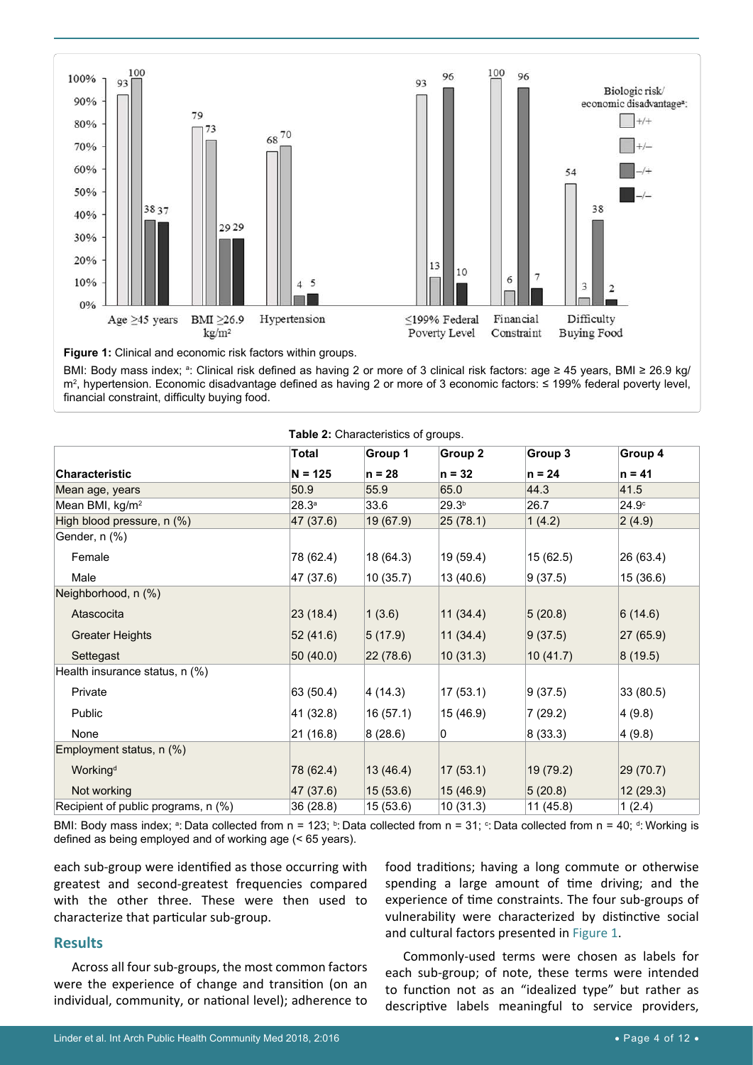

**Figure 1:** Clinical and economic risk factors within groups.

BMI: Body mass index; ª: Clinical risk defined as having 2 or more of 3 clinical risk factors: age ≥ 45 years, BMI ≥ 26.9 kg/ m2 , hypertension. Economic disadvantage defined as having 2 or more of 3 economic factors: ≤ 199% federal poverty level, financial constraint, difficulty buying food.

|                                     | Total     | Group 1   | Group 2           | Group 3   | Group 4           |  |
|-------------------------------------|-----------|-----------|-------------------|-----------|-------------------|--|
| <b>Characteristic</b>               | $N = 125$ | $n = 28$  | $n = 32$          | $n = 24$  | $n = 41$          |  |
| Mean age, years                     | 50.9      | 55.9      | 65.0              | 44.3      | 41.5              |  |
| Mean BMI, kg/m <sup>2</sup>         | 28.3a     | 33.6      | 29.3 <sup>b</sup> | 26.7      | 24.9 <sup>c</sup> |  |
| High blood pressure, n (%)          | 47 (37.6) | 19(67.9)  | 25(78.1)          | 1(4.2)    | 2(4.9)            |  |
| Gender, n (%)                       |           |           |                   |           |                   |  |
| Female                              | 78 (62.4) | 18 (64.3) | 19 (59.4)         | 15 (62.5) | 26 (63.4)         |  |
| Male                                | 47 (37.6) | 10(35.7)  | 13 (40.6)         | 9(37.5)   | 15 (36.6)         |  |
| Neighborhood, n (%)                 |           |           |                   |           |                   |  |
| Atascocita                          | 23(18.4)  | 1(3.6)    | 11(34.4)          | 5(20.8)   | 6(14.6)           |  |
| <b>Greater Heights</b>              | 52(41.6)  | 5(17.9)   | 11(34.4)          | 9(37.5)   | 27 (65.9)         |  |
| Settegast                           | 50(40.0)  | 22(78.6)  | 10(31.3)          | 10(41.7)  | 8(19.5)           |  |
| Health insurance status, n (%)      |           |           |                   |           |                   |  |
| Private                             | 63 (50.4) | 4(14.3)   | 17 (53.1)         | 9(37.5)   | 33 (80.5)         |  |
| Public                              | 41 (32.8) | 16(57.1)  | 15 (46.9)         | 7(29.2)   | 4(9.8)            |  |
| None                                | 21(16.8)  | 8(28.6)   | 0                 | 8(33.3)   | 4(9.8)            |  |
| Employment status, n (%)            |           |           |                   |           |                   |  |
| Working <sup>d</sup>                | 78 (62.4) | 13(46.4)  | 17(53.1)          | 19 (79.2) | 29 (70.7)         |  |
| Not working                         | 47 (37.6) | 15(53.6)  | 15(46.9)          | 5(20.8)   | 12(29.3)          |  |
| Recipient of public programs, n (%) | 36 (28.8) | 15 (53.6) | 10(31.3)          | 11 (45.8) | 1(2.4)            |  |

| Table 2: Characteristics of groups. |  |  |  |  |  |
|-------------------------------------|--|--|--|--|--|
|-------------------------------------|--|--|--|--|--|

BMI: Body mass index; a: Data collected from n = 123; b: Data collected from n = 31; 아: Data collected from n = 40; 아 Working is defined as being employed and of working age (< 65 years).

each sub-group were identified as those occurring with greatest and second-greatest frequencies compared with the other three. These were then used to characterize that particular sub-group.

#### **Results**

Across all four sub-groups, the most common factors were the experience of change and transition (on an individual, community, or national level); adherence to

food traditions; having a long commute or otherwise spending a large amount of time driving; and the experience of time constraints. The four sub-groups of vulnerability were characterized by distinctive social and cultural factors presented in Figure 1.

Commonly-used terms were chosen as labels for each sub-group; of note, these terms were intended to function not as an "idealized type" but rather as descriptive labels meaningful to service providers,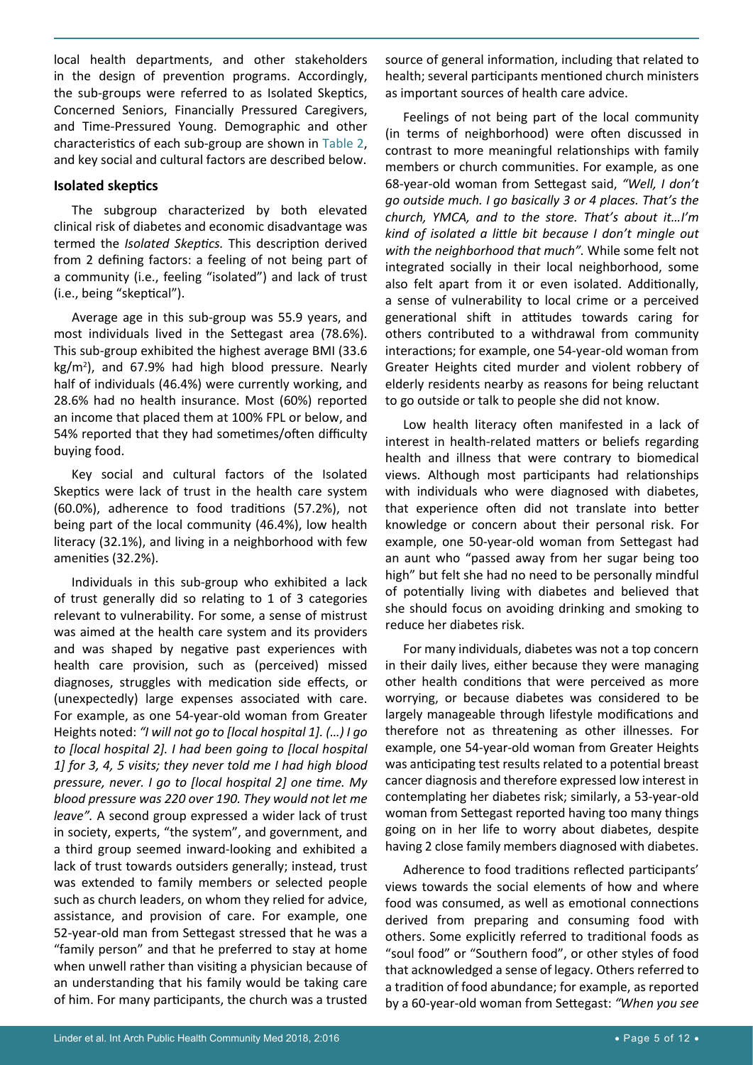local health departments, and other stakeholders in the design of prevention programs. Accordingly, the sub-groups were referred to as Isolated Skeptics, Concerned Seniors, Financially Pressured Caregivers, and Time-Pressured Young. Demographic and other characteristics of each sub-group are shown in Table 2, and key social and cultural factors are described below.

#### **Isolated skeptics**

The subgroup characterized by both elevated clinical risk of diabetes and economic disadvantage was termed the *Isolated Skeptics.* This description derived from 2 defining factors: a feeling of not being part of a community (i.e., feeling "isolated") and lack of trust (i.e., being "skeptical").

Average age in this sub-group was 55.9 years, and most individuals lived in the Settegast area (78.6%). This sub-group exhibited the highest average BMI (33.6 kg/m<sup>2</sup> ), and 67.9% had high blood pressure. Nearly half of individuals (46.4%) were currently working, and 28.6% had no health insurance. Most (60%) reported an income that placed them at 100% FPL or below, and 54% reported that they had sometimes/often difficulty buying food.

Key social and cultural factors of the Isolated Skeptics were lack of trust in the health care system (60.0%), adherence to food traditions (57.2%), not being part of the local community (46.4%), low health literacy (32.1%), and living in a neighborhood with few amenities (32.2%).

Individuals in this sub-group who exhibited a lack of trust generally did so relating to 1 of 3 categories relevant to vulnerability. For some, a sense of mistrust was aimed at the health care system and its providers and was shaped by negative past experiences with health care provision, such as (perceived) missed diagnoses, struggles with medication side effects, or (unexpectedly) large expenses associated with care. For example, as one 54-year-old woman from Greater Heights noted: *"I will not go to [local hospital 1]. (…) I go to [local hospital 2]. I had been going to [local hospital 1] for 3, 4, 5 visits; they never told me I had high blood pressure, never. I go to [local hospital 2] one time. My blood pressure was 220 over 190. They would not let me leave".* A second group expressed a wider lack of trust in society, experts, "the system", and government, and a third group seemed inward-looking and exhibited a lack of trust towards outsiders generally; instead, trust was extended to family members or selected people such as church leaders, on whom they relied for advice, assistance, and provision of care. For example, one 52-year-old man from Settegast stressed that he was a "family person" and that he preferred to stay at home when unwell rather than visiting a physician because of an understanding that his family would be taking care of him. For many participants, the church was a trusted

source of general information, including that related to health; several participants mentioned church ministers as important sources of health care advice.

Feelings of not being part of the local community (in terms of neighborhood) were often discussed in contrast to more meaningful relationships with family members or church communities. For example, as one 68-year-old woman from Settegast said, *"Well, I don't go outside much. I go basically 3 or 4 places. That's the church, YMCA, and to the store. That's about it…I'm kind of isolated a little bit because I don't mingle out with the neighborhood that much".* While some felt not integrated socially in their local neighborhood, some also felt apart from it or even isolated. Additionally, a sense of vulnerability to local crime or a perceived generational shift in attitudes towards caring for others contributed to a withdrawal from community interactions; for example, one 54-year-old woman from Greater Heights cited murder and violent robbery of elderly residents nearby as reasons for being reluctant to go outside or talk to people she did not know.

Low health literacy often manifested in a lack of interest in health-related matters or beliefs regarding health and illness that were contrary to biomedical views. Although most participants had relationships with individuals who were diagnosed with diabetes, that experience often did not translate into better knowledge or concern about their personal risk. For example, one 50-year-old woman from Settegast had an aunt who "passed away from her sugar being too high" but felt she had no need to be personally mindful of potentially living with diabetes and believed that she should focus on avoiding drinking and smoking to reduce her diabetes risk.

For many individuals, diabetes was not a top concern in their daily lives, either because they were managing other health conditions that were perceived as more worrying, or because diabetes was considered to be largely manageable through lifestyle modifications and therefore not as threatening as other illnesses. For example, one 54-year-old woman from Greater Heights was anticipating test results related to a potential breast cancer diagnosis and therefore expressed low interest in contemplating her diabetes risk; similarly, a 53-year-old woman from Settegast reported having too many things going on in her life to worry about diabetes, despite having 2 close family members diagnosed with diabetes.

Adherence to food traditions reflected participants' views towards the social elements of how and where food was consumed, as well as emotional connections derived from preparing and consuming food with others. Some explicitly referred to traditional foods as "soul food" or "Southern food", or other styles of food that acknowledged a sense of legacy. Others referred to a tradition of food abundance; for example, as reported by a 60-year-old woman from Settegast: *"When you see*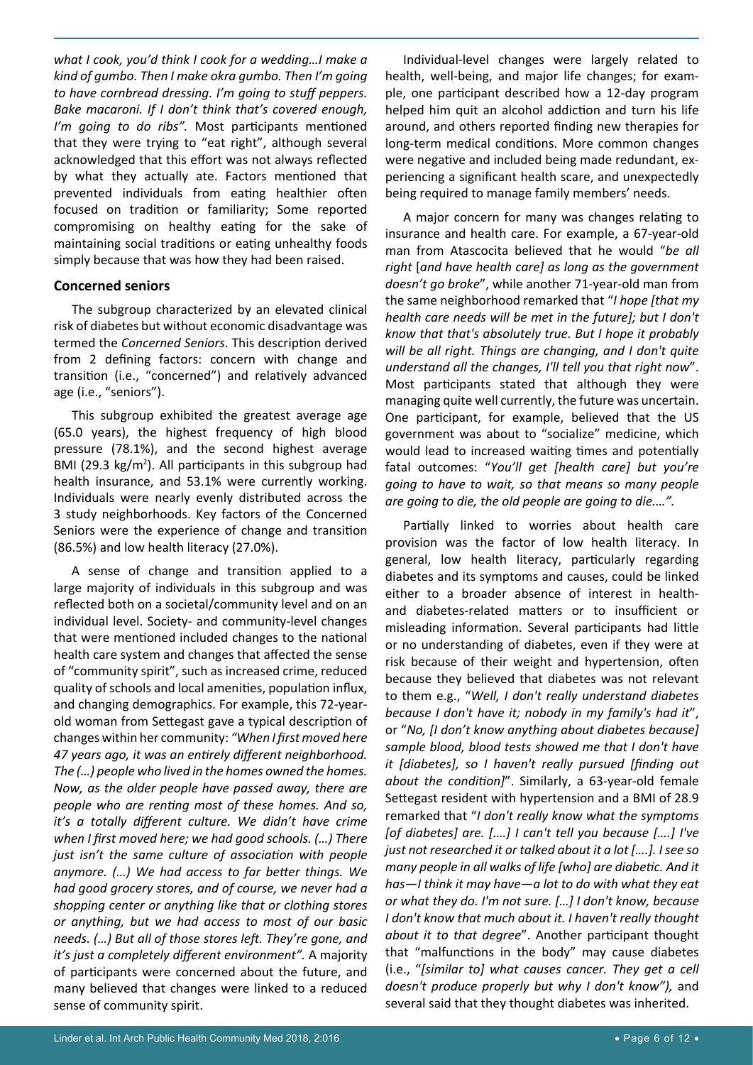*what I cook, you'd think I cook for a wedding…I make a kind of gumbo. Then I make okra gumbo. Then I'm going to have cornbread dressing. I'm going to stuff peppers. Bake macaroni. If I don't think that's covered enough, I'm going to do ribs".* Most participants mentioned that they were trying to "eat right", although several acknowledged that this effort was not always reflected by what they actually ate. Factors mentioned that prevented individuals from eating healthier often focused on tradition or familiarity; Some reported compromising on healthy eating for the sake of maintaining social traditions or eating unhealthy foods simply because that was how they had been raised.

#### **Concerned seniors**

The subgroup characterized by an elevated clinical risk of diabetes but without economic disadvantage was termed the *Concerned Seniors*. This description derived from 2 defining factors: concern with change and transition (i.e., "concerned") and relatively advanced age (i.e., "seniors").

This subgroup exhibited the greatest average age (65.0 years), the highest frequency of high blood pressure (78.1%), and the second highest average BMI (29.3  $kg/m<sup>2</sup>$ ). All participants in this subgroup had health insurance, and 53.1% were currently working. Individuals were nearly evenly distributed across the 3 study neighborhoods. Key factors of the Concerned Seniors were the experience of change and transition (86.5%) and low health literacy (27.0%).

A sense of change and transition applied to a large majority of individuals in this subgroup and was reflected both on a societal/community level and on an individual level. Society- and community-level changes that were mentioned included changes to the national health care system and changes that affected the sense of "community spirit", such as increased crime, reduced quality of schools and local amenities, population influx, and changing demographics. For example, this 72-yearold woman from Settegast gave a typical description of changes within her community: *"When I first moved here 47 years ago, it was an entirely different neighborhood. The (…) people who lived in the homes owned the homes. Now, as the older people have passed away, there are people who are renting most of these homes. And so, it's a totally different culture. We didn't have crime when I first moved here; we had good schools. (…) There just isn't the same culture of association with people anymore. (…) We had access to far better things. We had good grocery stores, and of course, we never had a shopping center or anything like that or clothing stores or anything, but we had access to most of our basic needs. (…) But all of those stores left. They're gone, and it's just a completely different environment".* A majority of participants were concerned about the future, and many believed that changes were linked to a reduced sense of community spirit.

Individual-level changes were largely related to health, well-being, and major life changes; for example, one participant described how a 12-day program helped him quit an alcohol addiction and turn his life around, and others reported finding new therapies for long-term medical conditions. More common changes were negative and included being made redundant, experiencing a significant health scare, and unexpectedly being required to manage family members' needs.

A major concern for many was changes relating to insurance and health care. For example, a 67-year-old man from Atascocita believed that he would "*be all right* [*and have health care] as long as the government doesn't go broke*", while another 71-year-old man from the same neighborhood remarked that "*I hope [that my health care needs will be met in the future]; but I don't know that that's absolutely true. But I hope it probably will be all right. Things are changing, and I don't quite understand all the changes, I'll tell you that right now*". Most participants stated that although they were managing quite well currently, the future was uncertain. One participant, for example, believed that the US government was about to "socialize" medicine, which would lead to increased waiting times and potentially fatal outcomes: "*You'll get [health care] but you're going to have to wait, so that means so many people are going to die, the old people are going to die.…".*

Partially linked to worries about health care provision was the factor of low health literacy. In general, low health literacy, particularly regarding diabetes and its symptoms and causes, could be linked either to a broader absence of interest in healthand diabetes-related matters or to insufficient or misleading information. Several participants had little or no understanding of diabetes, even if they were at risk because of their weight and hypertension, often because they believed that diabetes was not relevant to them e.g., "*Well, I don't really understand diabetes because I don't have it; nobody in my family's had it*", or "*No, [I don't know anything about diabetes because] sample blood, blood tests showed me that I don't have it [diabetes], so I haven't really pursued [finding out about the condition]*". Similarly, a 63-year-old female Settegast resident with hypertension and a BMI of 28.9 remarked that "*I don't really know what the symptoms [of diabetes] are. [.…] I can't tell you because [….] I've just not researched it or talked about it a lot [….]. I see so many people in all walks of life [who] are diabetic. And it has—I think it may have—a lot to do with what they eat or what they do. I'm not sure. […] I don't know, because I don't know that much about it. I haven't really thought about it to that degree*". Another participant thought that "malfunctions in the body" may cause diabetes (i.e., "*[similar to] what causes cancer. They get a cell doesn't produce properly but why I don't know"),* and several said that they thought diabetes was inherited.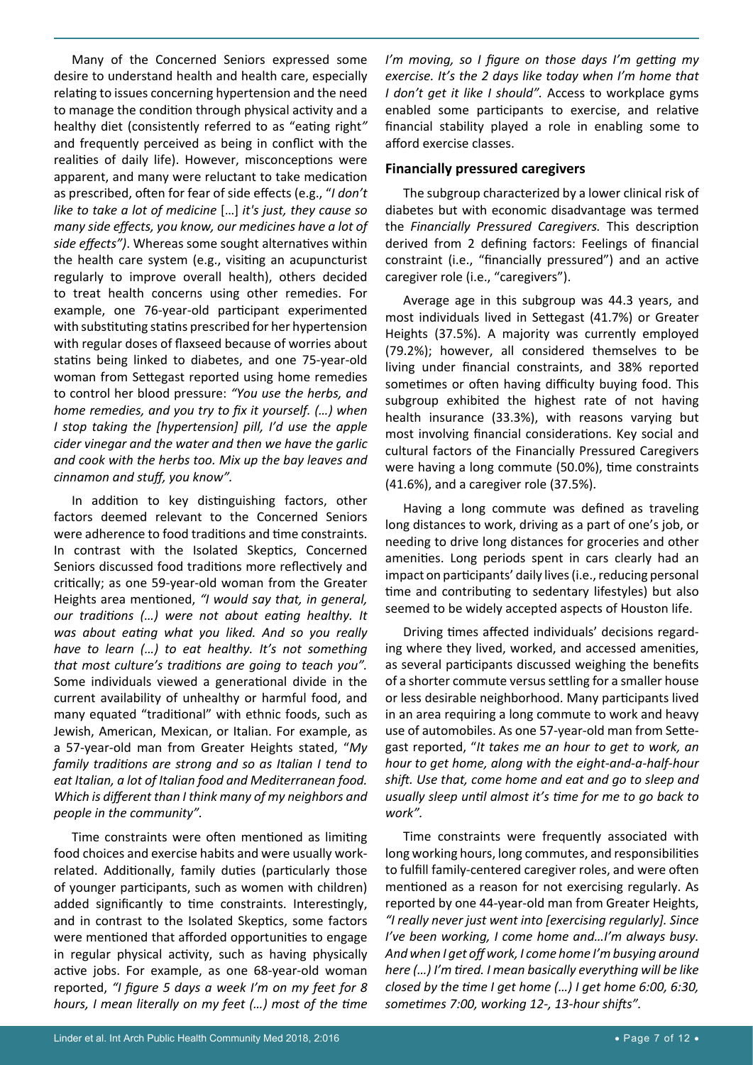Many of the Concerned Seniors expressed some desire to understand health and health care, especially relating to issues concerning hypertension and the need to manage the condition through physical activity and a healthy diet (consistently referred to as "eating right*"*  and frequently perceived as being in conflict with the realities of daily life). However, misconceptions were apparent, and many were reluctant to take medication as prescribed, often for fear of side effects (e.g., "*I don't like to take a lot of medicine* […] *it's just, they cause so many side effects, you know, our medicines have a lot of side effects")*. Whereas some sought alternatives within the health care system (e.g., visiting an acupuncturist regularly to improve overall health), others decided to treat health concerns using other remedies. For example, one 76-year-old participant experimented with substituting statins prescribed for her hypertension with regular doses of flaxseed because of worries about statins being linked to diabetes, and one 75-year-old woman from Settegast reported using home remedies to control her blood pressure: *"You use the herbs, and home remedies, and you try to fix it yourself. (…) when I stop taking the [hypertension] pill, I'd use the apple cider vinegar and the water and then we have the garlic and cook with the herbs too. Mix up the bay leaves and cinnamon and stuff, you know".*

In addition to key distinguishing factors, other factors deemed relevant to the Concerned Seniors were adherence to food traditions and time constraints. In contrast with the Isolated Skeptics, Concerned Seniors discussed food traditions more reflectively and critically; as one 59-year-old woman from the Greater Heights area mentioned, *"I would say that, in general, our traditions (…) were not about eating healthy. It was about eating what you liked. And so you really have to learn (…) to eat healthy. It's not something that most culture's traditions are going to teach you".*  Some individuals viewed a generational divide in the current availability of unhealthy or harmful food, and many equated "traditional" with ethnic foods, such as Jewish, American, Mexican, or Italian. For example, as a 57-year-old man from Greater Heights stated, "*My family traditions are strong and so as Italian I tend to eat Italian, a lot of Italian food and Mediterranean food. Which is different than I think many of my neighbors and people in the community".*

Time constraints were often mentioned as limiting food choices and exercise habits and were usually workrelated. Additionally, family duties (particularly those of younger participants, such as women with children) added significantly to time constraints. Interestingly, and in contrast to the Isolated Skeptics, some factors were mentioned that afforded opportunities to engage in regular physical activity, such as having physically active jobs. For example, as one 68-year-old woman reported, *"I figure 5 days a week I'm on my feet for 8 hours, I mean literally on my feet (…) most of the time* 

*I'm moving, so I figure on those days I'm getting my exercise. It's the 2 days like today when I'm home that I don't get it like I should".* Access to workplace gyms enabled some participants to exercise, and relative financial stability played a role in enabling some to afford exercise classes.

#### **Financially pressured caregivers**

The subgroup characterized by a lower clinical risk of diabetes but with economic disadvantage was termed the *Financially Pressured Caregivers.* This description derived from 2 defining factors: Feelings of financial constraint (i.e., "financially pressured") and an active caregiver role (i.e., "caregivers").

Average age in this subgroup was 44.3 years, and most individuals lived in Settegast (41.7%) or Greater Heights (37.5%). A majority was currently employed (79.2%); however, all considered themselves to be living under financial constraints, and 38% reported sometimes or often having difficulty buying food. This subgroup exhibited the highest rate of not having health insurance (33.3%), with reasons varying but most involving financial considerations. Key social and cultural factors of the Financially Pressured Caregivers were having a long commute (50.0%), time constraints (41.6%), and a caregiver role (37.5%).

Having a long commute was defined as traveling long distances to work, driving as a part of one's job, or needing to drive long distances for groceries and other amenities. Long periods spent in cars clearly had an impact on participants' daily lives (i.e., reducing personal time and contributing to sedentary lifestyles) but also seemed to be widely accepted aspects of Houston life.

Driving times affected individuals' decisions regarding where they lived, worked, and accessed amenities, as several participants discussed weighing the benefits of a shorter commute versus settling for a smaller house or less desirable neighborhood. Many participants lived in an area requiring a long commute to work and heavy use of automobiles. As one 57-year-old man from Settegast reported, "*It takes me an hour to get to work, an hour to get home, along with the eight-and-a-half-hour shift. Use that, come home and eat and go to sleep and usually sleep until almost it's time for me to go back to work".*

Time constraints were frequently associated with long working hours, long commutes, and responsibilities to fulfill family-centered caregiver roles, and were often mentioned as a reason for not exercising regularly. As reported by one 44-year-old man from Greater Heights, *"I really never just went into [exercising regularly]. Since I've been working, I come home and…I'm always busy. And when I get off work, I come home I'm busying around here (…) I'm tired. I mean basically everything will be like closed by the time I get home (…) I get home 6:00, 6:30, sometimes 7:00, working 12-, 13-hour shifts".*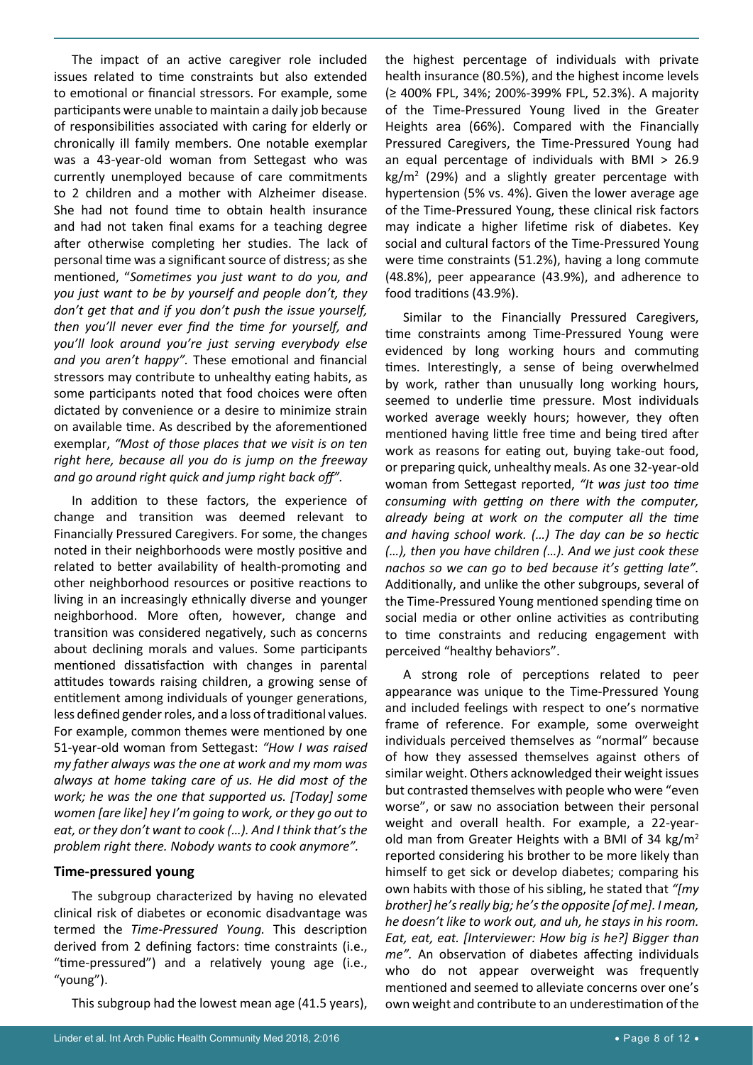The impact of an active caregiver role included issues related to time constraints but also extended to emotional or financial stressors. For example, some participants were unable to maintain a daily job because of responsibilities associated with caring for elderly or chronically ill family members. One notable exemplar was a 43-year-old woman from Settegast who was currently unemployed because of care commitments to 2 children and a mother with Alzheimer disease. She had not found time to obtain health insurance and had not taken final exams for a teaching degree after otherwise completing her studies. The lack of personal time was a significant source of distress; as she mentioned, "*Sometimes you just want to do you, and you just want to be by yourself and people don't, they don't get that and if you don't push the issue yourself, then you'll never ever find the time for yourself, and you'll look around you're just serving everybody else and you aren't happy".* These emotional and financial stressors may contribute to unhealthy eating habits, as some participants noted that food choices were often dictated by convenience or a desire to minimize strain on available time. As described by the aforementioned exemplar, *"Most of those places that we visit is on ten right here, because all you do is jump on the freeway and go around right quick and jump right back off".*

In addition to these factors, the experience of change and transition was deemed relevant to Financially Pressured Caregivers. For some, the changes noted in their neighborhoods were mostly positive and related to better availability of health-promoting and other neighborhood resources or positive reactions to living in an increasingly ethnically diverse and younger neighborhood. More often, however, change and transition was considered negatively, such as concerns about declining morals and values. Some participants mentioned dissatisfaction with changes in parental attitudes towards raising children, a growing sense of entitlement among individuals of younger generations, less defined gender roles, and a loss of traditional values. For example, common themes were mentioned by one 51-year-old woman from Settegast: *"How I was raised my father always was the one at work and my mom was always at home taking care of us. He did most of the work; he was the one that supported us. [Today] some women [are like] hey I'm going to work, or they go out to eat, or they don't want to cook (…). And I think that's the problem right there. Nobody wants to cook anymore".*

#### **Time-pressured young**

The subgroup characterized by having no elevated clinical risk of diabetes or economic disadvantage was termed the *Time-Pressured Young.* This description derived from 2 defining factors: time constraints (i.e., "time-pressured") and a relatively young age (i.e., "young").

This subgroup had the lowest mean age (41.5 years),

the highest percentage of individuals with private health insurance (80.5%), and the highest income levels (≥ 400% FPL, 34%; 200%-399% FPL, 52.3%). A majority of the Time-Pressured Young lived in the Greater Heights area (66%). Compared with the Financially Pressured Caregivers, the Time-Pressured Young had an equal percentage of individuals with BMI > 26.9  $\text{kg/m}^2$  (29%) and a slightly greater percentage with hypertension (5% vs. 4%). Given the lower average age of the Time-Pressured Young, these clinical risk factors may indicate a higher lifetime risk of diabetes. Key social and cultural factors of the Time-Pressured Young were time constraints (51.2%), having a long commute (48.8%), peer appearance (43.9%), and adherence to food traditions (43.9%).

Similar to the Financially Pressured Caregivers, time constraints among Time-Pressured Young were evidenced by long working hours and commuting times. Interestingly, a sense of being overwhelmed by work, rather than unusually long working hours, seemed to underlie time pressure. Most individuals worked average weekly hours; however, they often mentioned having little free time and being tired after work as reasons for eating out, buying take-out food, or preparing quick, unhealthy meals. As one 32-year-old woman from Settegast reported, *"It was just too time consuming with getting on there with the computer, already being at work on the computer all the time and having school work. (…) The day can be so hectic (…), then you have children (…). And we just cook these nachos so we can go to bed because it's getting late".*  Additionally, and unlike the other subgroups, several of the Time-Pressured Young mentioned spending time on social media or other online activities as contributing to time constraints and reducing engagement with perceived "healthy behaviors".

A strong role of perceptions related to peer appearance was unique to the Time-Pressured Young and included feelings with respect to one's normative frame of reference. For example, some overweight individuals perceived themselves as "normal" because of how they assessed themselves against others of similar weight. Others acknowledged their weight issues but contrasted themselves with people who were "even worse", or saw no association between their personal weight and overall health. For example, a 22-yearold man from Greater Heights with a BMI of 34 kg/m<sup>2</sup> reported considering his brother to be more likely than himself to get sick or develop diabetes; comparing his own habits with those of his sibling, he stated that *"[my brother] he's really big; he's the opposite [of me]. I mean, he doesn't like to work out, and uh, he stays in his room. Eat, eat, eat. [Interviewer: How big is he?] Bigger than me".* An observation of diabetes affecting individuals who do not appear overweight was frequently mentioned and seemed to alleviate concerns over one's own weight and contribute to an underestimation of the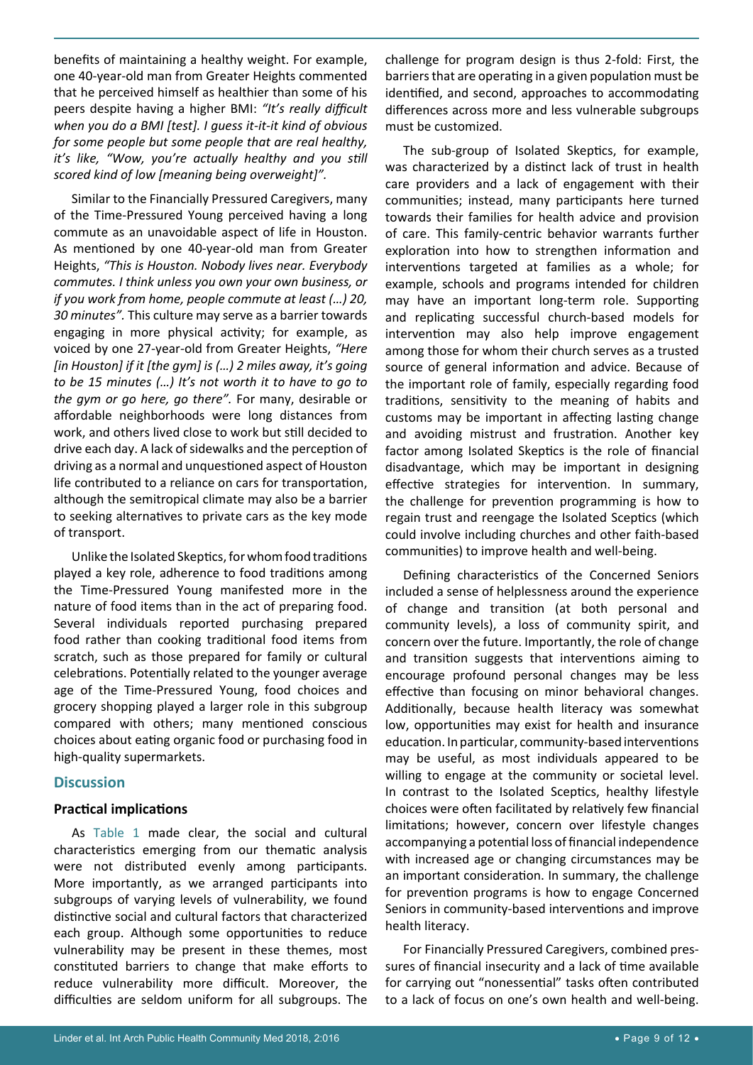benefits of maintaining a healthy weight. For example, one 40-year-old man from Greater Heights commented that he perceived himself as healthier than some of his peers despite having a higher BMI: *"It's really difficult when you do a BMI [test]. I guess it-it-it kind of obvious for some people but some people that are real healthy, it's like, "Wow, you're actually healthy and you still scored kind of low [meaning being overweight]".*

Similar to the Financially Pressured Caregivers, many of the Time-Pressured Young perceived having a long commute as an unavoidable aspect of life in Houston. As mentioned by one 40-year-old man from Greater Heights, *"This is Houston. Nobody lives near. Everybody commutes. I think unless you own your own business, or if you work from home, people commute at least (…) 20, 30 minutes".* This culture may serve as a barrier towards engaging in more physical activity; for example, as voiced by one 27-year-old from Greater Heights, *"Here [in Houston] if it [the gym] is (…) 2 miles away, it's going to be 15 minutes (…) It's not worth it to have to go to the gym or go here, go there".* For many, desirable or affordable neighborhoods were long distances from work, and others lived close to work but still decided to drive each day. A lack of sidewalks and the perception of driving as a normal and unquestioned aspect of Houston life contributed to a reliance on cars for transportation, although the semitropical climate may also be a barrier to seeking alternatives to private cars as the key mode of transport.

Unlike the Isolated Skeptics, for whom food traditions played a key role, adherence to food traditions among the Time-Pressured Young manifested more in the nature of food items than in the act of preparing food. Several individuals reported purchasing prepared food rather than cooking traditional food items from scratch, such as those prepared for family or cultural celebrations. Potentially related to the younger average age of the Time-Pressured Young, food choices and grocery shopping played a larger role in this subgroup compared with others; many mentioned conscious choices about eating organic food or purchasing food in high-quality supermarkets.

## **Discussion**

#### **Practical implications**

As Table 1 made clear, the social and cultural characteristics emerging from our thematic analysis were not distributed evenly among participants. More importantly, as we arranged participants into subgroups of varying levels of vulnerability, we found distinctive social and cultural factors that characterized each group. Although some opportunities to reduce vulnerability may be present in these themes, most constituted barriers to change that make efforts to reduce vulnerability more difficult. Moreover, the difficulties are seldom uniform for all subgroups. The

challenge for program design is thus 2-fold: First, the barriers that are operating in a given population must be identified, and second, approaches to accommodating differences across more and less vulnerable subgroups must be customized.

The sub-group of Isolated Skeptics, for example, was characterized by a distinct lack of trust in health care providers and a lack of engagement with their communities; instead, many participants here turned towards their families for health advice and provision of care. This family-centric behavior warrants further exploration into how to strengthen information and interventions targeted at families as a whole; for example, schools and programs intended for children may have an important long-term role. Supporting and replicating successful church-based models for intervention may also help improve engagement among those for whom their church serves as a trusted source of general information and advice. Because of the important role of family, especially regarding food traditions, sensitivity to the meaning of habits and customs may be important in affecting lasting change and avoiding mistrust and frustration. Another key factor among Isolated Skeptics is the role of financial disadvantage, which may be important in designing effective strategies for intervention. In summary, the challenge for prevention programming is how to regain trust and reengage the Isolated Sceptics (which could involve including churches and other faith-based communities) to improve health and well-being.

Defining characteristics of the Concerned Seniors included a sense of helplessness around the experience of change and transition (at both personal and community levels), a loss of community spirit, and concern over the future. Importantly, the role of change and transition suggests that interventions aiming to encourage profound personal changes may be less effective than focusing on minor behavioral changes. Additionally, because health literacy was somewhat low, opportunities may exist for health and insurance education. In particular, community-based interventions may be useful, as most individuals appeared to be willing to engage at the community or societal level. In contrast to the Isolated Sceptics, healthy lifestyle choices were often facilitated by relatively few financial limitations; however, concern over lifestyle changes accompanying a potential loss of financial independence with increased age or changing circumstances may be an important consideration. In summary, the challenge for prevention programs is how to engage Concerned Seniors in community-based interventions and improve health literacy.

For Financially Pressured Caregivers, combined pressures of financial insecurity and a lack of time available for carrying out "nonessential" tasks often contributed to a lack of focus on one's own health and well-being.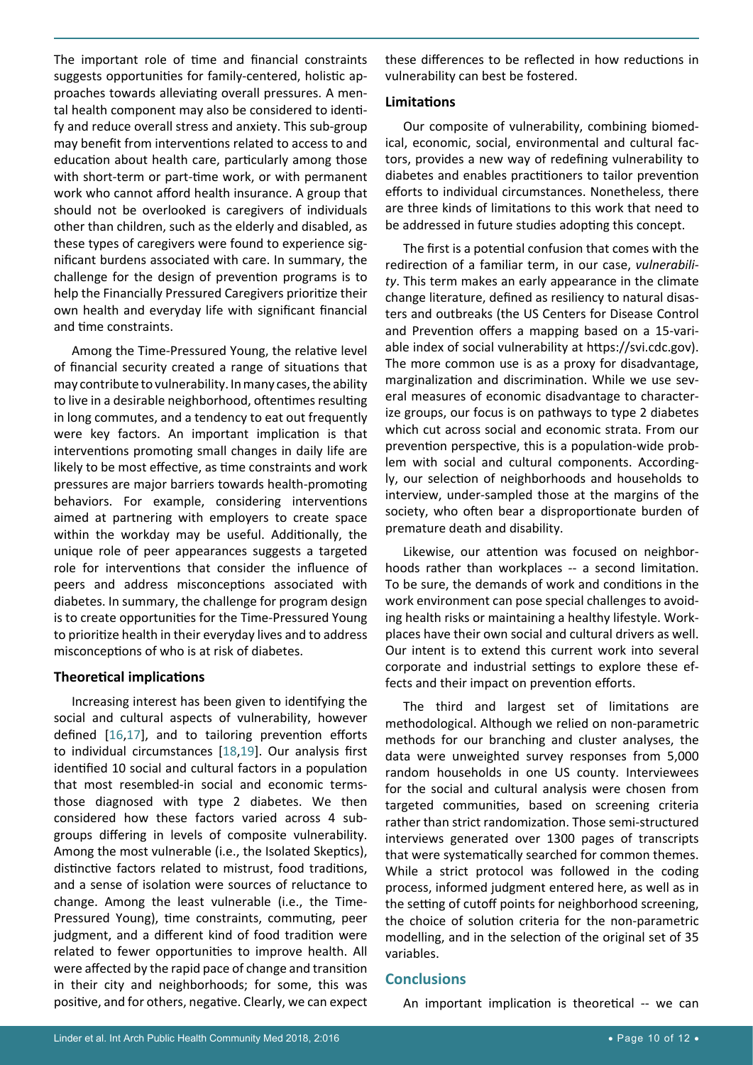The important role of time and financial constraints suggests opportunities for family-centered, holistic approaches towards alleviating overall pressures. A mental health component may also be considered to identify and reduce overall stress and anxiety. This sub-group may benefit from interventions related to access to and education about health care, particularly among those with short-term or part-time work, or with permanent work who cannot afford health insurance. A group that should not be overlooked is caregivers of individuals other than children, such as the elderly and disabled, as these types of caregivers were found to experience significant burdens associated with care. In summary, the challenge for the design of prevention programs is to help the Financially Pressured Caregivers prioritize their own health and everyday life with significant financial and time constraints.

Among the Time-Pressured Young, the relative level of financial security created a range of situations that may contribute to vulnerability. In many cases, the ability to live in a desirable neighborhood, oftentimes resulting in long commutes, and a tendency to eat out frequently were key factors. An important implication is that interventions promoting small changes in daily life are likely to be most effective, as time constraints and work pressures are major barriers towards health-promoting behaviors. For example, considering interventions aimed at partnering with employers to create space within the workday may be useful. Additionally, the unique role of peer appearances suggests a targeted role for interventions that consider the influence of peers and address misconceptions associated with diabetes. In summary, the challenge for program design is to create opportunities for the Time-Pressured Young to prioritize health in their everyday lives and to address misconceptions of who is at risk of diabetes.

#### **Theoretical implications**

Increasing interest has been given to identifying the social and cultural aspects of vulnerability, however defined [\[16](#page-10-13),[17](#page-10-14)], and to tailoring prevention efforts to individual circumstances [\[18](#page-10-15),[19](#page-10-16)]. Our analysis first identified 10 social and cultural factors in a population that most resembled-in social and economic termsthose diagnosed with type 2 diabetes. We then considered how these factors varied across 4 subgroups differing in levels of composite vulnerability. Among the most vulnerable (i.e., the Isolated Skeptics), distinctive factors related to mistrust, food traditions, and a sense of isolation were sources of reluctance to change. Among the least vulnerable (i.e., the Time-Pressured Young), time constraints, commuting, peer judgment, and a different kind of food tradition were related to fewer opportunities to improve health. All were affected by the rapid pace of change and transition in their city and neighborhoods; for some, this was positive, and for others, negative. Clearly, we can expect

these differences to be reflected in how reductions in vulnerability can best be fostered.

#### **Limitations**

Our composite of vulnerability, combining biomedical, economic, social, environmental and cultural factors, provides a new way of redefining vulnerability to diabetes and enables practitioners to tailor prevention efforts to individual circumstances. Nonetheless, there are three kinds of limitations to this work that need to be addressed in future studies adopting this concept.

The first is a potential confusion that comes with the redirection of a familiar term, in our case, *vulnerability*. This term makes an early appearance in the climate change literature, defined as resiliency to natural disasters and outbreaks (the US Centers for Disease Control and Prevention offers a mapping based on a 15-variable index of social vulnerability at [https://svi.cdc.gov\)](https://svi.cdc.gov). The more common use is as a proxy for disadvantage, marginalization and discrimination. While we use several measures of economic disadvantage to characterize groups, our focus is on pathways to type 2 diabetes which cut across social and economic strata. From our prevention perspective, this is a population-wide problem with social and cultural components. Accordingly, our selection of neighborhoods and households to interview, under-sampled those at the margins of the society, who often bear a disproportionate burden of premature death and disability.

Likewise, our attention was focused on neighborhoods rather than workplaces -- a second limitation. To be sure, the demands of work and conditions in the work environment can pose special challenges to avoiding health risks or maintaining a healthy lifestyle. Workplaces have their own social and cultural drivers as well. Our intent is to extend this current work into several corporate and industrial settings to explore these effects and their impact on prevention efforts.

The third and largest set of limitations are methodological. Although we relied on non-parametric methods for our branching and cluster analyses, the data were unweighted survey responses from 5,000 random households in one US county. Interviewees for the social and cultural analysis were chosen from targeted communities, based on screening criteria rather than strict randomization. Those semi-structured interviews generated over 1300 pages of transcripts that were systematically searched for common themes. While a strict protocol was followed in the coding process, informed judgment entered here, as well as in the setting of cutoff points for neighborhood screening, the choice of solution criteria for the non-parametric modelling, and in the selection of the original set of 35 variables.

#### **Conclusions**

An important implication is theoretical -- we can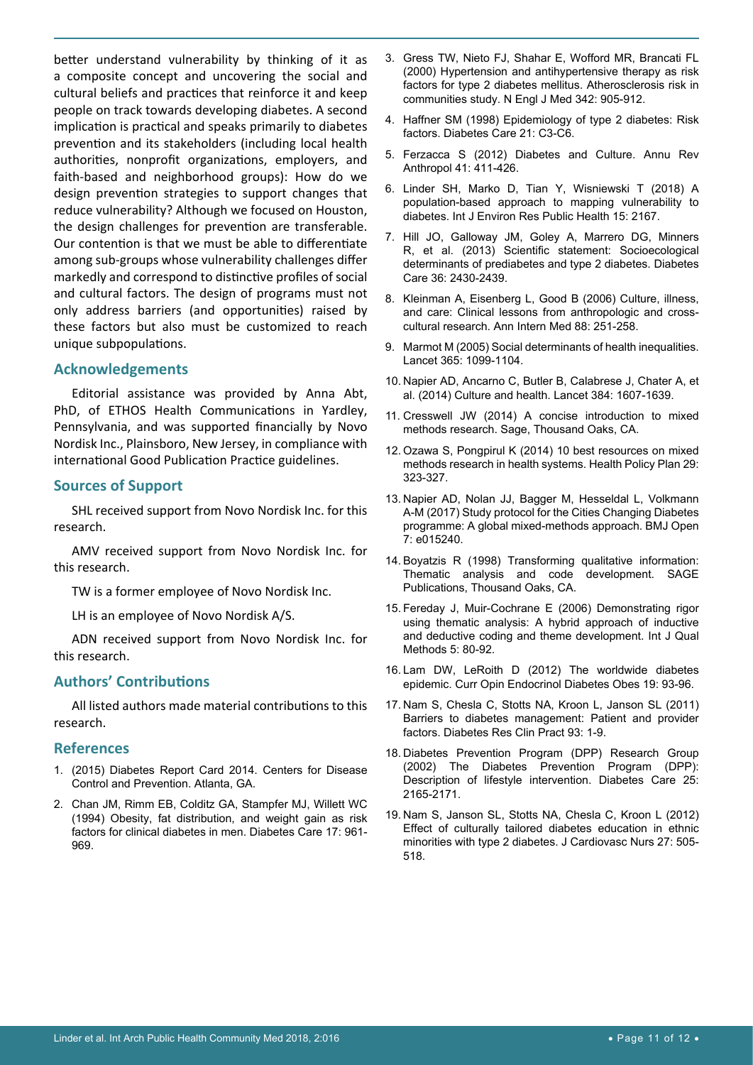better understand vulnerability by thinking of it as a composite concept and uncovering the social and cultural beliefs and practices that reinforce it and keep people on track towards developing diabetes. A second implication is practical and speaks primarily to diabetes prevention and its stakeholders (including local health authorities, nonprofit organizations, employers, and faith-based and neighborhood groups): How do we design prevention strategies to support changes that reduce vulnerability? Although we focused on Houston, the design challenges for prevention are transferable. Our contention is that we must be able to differentiate among sub-groups whose vulnerability challenges differ markedly and correspond to distinctive profiles of social and cultural factors. The design of programs must not only address barriers (and opportunities) raised by these factors but also must be customized to reach unique subpopulations.

#### **Acknowledgements**

Editorial assistance was provided by Anna Abt, PhD, of ETHOS Health Communications in Yardley, Pennsylvania, and was supported financially by Novo Nordisk Inc., Plainsboro, New Jersey, in compliance with international Good Publication Practice guidelines.

#### **Sources of Support**

SHL received support from Novo Nordisk Inc. for this research.

AMV received support from Novo Nordisk Inc. for this research.

TW is a former employee of Novo Nordisk Inc.

LH is an employee of Novo Nordisk A/S.

ADN received support from Novo Nordisk Inc. for this research.

## **Authors' Contributions**

All listed authors made material contributions to this research.

#### **References**

- <span id="page-10-4"></span>1. [\(2015\) Diabetes Report Card 2014. Centers for Disease](https://www.cdc.gov/diabetes/library/reports/reportcard.html)  [Control and Prevention. Atlanta, GA.](https://www.cdc.gov/diabetes/library/reports/reportcard.html)
- <span id="page-10-0"></span>2. [Chan JM, Rimm EB, Colditz GA, Stampfer MJ, Willett WC](https://www.ncbi.nlm.nih.gov/pubmed/7988316)  [\(1994\) Obesity, fat distribution, and weight gain as risk](https://www.ncbi.nlm.nih.gov/pubmed/7988316)  [factors for clinical diabetes in men. Diabetes Care 17: 961-](https://www.ncbi.nlm.nih.gov/pubmed/7988316) [969.](https://www.ncbi.nlm.nih.gov/pubmed/7988316)
- 3. [Gress TW, Nieto FJ, Shahar E, Wofford MR, Brancati FL](https://www.ncbi.nlm.nih.gov/pubmed/10738048)  [\(2000\) Hypertension and antihypertensive therapy as risk](https://www.ncbi.nlm.nih.gov/pubmed/10738048)  [factors for type 2 diabetes mellitus. Atherosclerosis risk in](https://www.ncbi.nlm.nih.gov/pubmed/10738048)  [communities study. N Engl J Med 342: 905-912.](https://www.ncbi.nlm.nih.gov/pubmed/10738048)
- <span id="page-10-1"></span>4. [Haffner SM \(1998\) Epidemiology of type 2 diabetes: Risk](http://care.diabetesjournals.org/content/21/Supplement_3/C3)  [factors. Diabetes Care 21: C3-C6.](http://care.diabetesjournals.org/content/21/Supplement_3/C3)
- <span id="page-10-2"></span>5. [Ferzacca S \(2012\) Diabetes and Culture. Annu Rev](https://www.annualreviews.org/doi/abs/10.1146/annurev-anthro-081309-145806)  [Anthropol 41: 411-426.](https://www.annualreviews.org/doi/abs/10.1146/annurev-anthro-081309-145806)
- <span id="page-10-3"></span>6. [Linder SH, Marko D, Tian Y, Wisniewski T \(2018\) A](https://www.ncbi.nlm.nih.gov/pmc/articles/PMC6209960/)  [population-based approach to mapping vulnerability to](https://www.ncbi.nlm.nih.gov/pmc/articles/PMC6209960/)  [diabetes. Int J Environ Res Public Health 15: 2167.](https://www.ncbi.nlm.nih.gov/pmc/articles/PMC6209960/)
- <span id="page-10-6"></span>7. [Hill JO, Galloway JM, Goley A, Marrero DG, Minners](http://care.diabetesjournals.org/content/36/8/2430)  [R, et al. \(2013\) Scientific statement: Socioecological](http://care.diabetesjournals.org/content/36/8/2430)  [determinants of prediabetes and type 2 diabetes. Diabetes](http://care.diabetesjournals.org/content/36/8/2430)  [Care 36: 2430-2439.](http://care.diabetesjournals.org/content/36/8/2430)
- <span id="page-10-7"></span>8. [Kleinman A, Eisenberg L, Good B \(2006\) Culture, illness,](https://www.ncbi.nlm.nih.gov/pubmed/626456)  [and care: Clinical lessons from anthropologic and cross](https://www.ncbi.nlm.nih.gov/pubmed/626456)[cultural research. Ann Intern Med 88: 251-258.](https://www.ncbi.nlm.nih.gov/pubmed/626456)
- 9. [Marmot M \(2005\) Social determinants of health inequalities.](https://www.ncbi.nlm.nih.gov/pubmed/15781105)  [Lancet 365: 1099-1104.](https://www.ncbi.nlm.nih.gov/pubmed/15781105)
- <span id="page-10-8"></span>10. [Napier AD, Ancarno C, Butler B, Calabrese J, Chater A, et](https://www.ncbi.nlm.nih.gov/pubmed/25443490)  [al. \(2014\) Culture and health. Lancet 384: 1607-1639.](https://www.ncbi.nlm.nih.gov/pubmed/25443490)
- <span id="page-10-9"></span>11. Cresswell JW (2014) A concise introduction to mixed methods research. Sage, Thousand Oaks, CA.
- <span id="page-10-10"></span>12. [Ozawa S, Pongpirul K \(2014\) 10 best resources on mixed](https://www.ncbi.nlm.nih.gov/pubmed/23564372)  [methods research in health systems. Health Policy Plan 29:](https://www.ncbi.nlm.nih.gov/pubmed/23564372)  [323-327.](https://www.ncbi.nlm.nih.gov/pubmed/23564372)
- <span id="page-10-5"></span>13. [Napier AD, Nolan JJ, Bagger M, Hesseldal L, Volkmann](https://bmjopen.bmj.com/content/7/11/e015240)  [A-M \(2017\) Study protocol for the Cities Changing Diabetes](https://bmjopen.bmj.com/content/7/11/e015240)  [programme: A global mixed-methods approach. BMJ Open](https://bmjopen.bmj.com/content/7/11/e015240)  [7: e015240.](https://bmjopen.bmj.com/content/7/11/e015240)
- <span id="page-10-11"></span>14. [Boyatzis R \(1998\) Transforming qualitative information:](http://psycnet.apa.org/record/1998-08155-000)  [Thematic analysis and code development. SAGE](http://psycnet.apa.org/record/1998-08155-000)  [Publications, Thousand Oaks, CA.](http://psycnet.apa.org/record/1998-08155-000)
- <span id="page-10-12"></span>15. [Fereday J, Muir-Cochrane E \(2006\) Demonstrating rigor](https://journals.sagepub.com/doi/10.1177/160940690600500107)  [using thematic analysis: A hybrid approach of inductive](https://journals.sagepub.com/doi/10.1177/160940690600500107)  [and deductive coding and theme development. Int J Qual](https://journals.sagepub.com/doi/10.1177/160940690600500107)  [Methods 5: 80-92.](https://journals.sagepub.com/doi/10.1177/160940690600500107)
- <span id="page-10-13"></span>16. [Lam DW, LeRoith D \(2012\) The worldwide diabetes](https://www.ncbi.nlm.nih.gov/pubmed/22262000)  [epidemic. Curr Opin Endocrinol Diabetes Obes 19: 93-96.](https://www.ncbi.nlm.nih.gov/pubmed/22262000)
- <span id="page-10-14"></span>17. [Nam S, Chesla C, Stotts NA, Kroon L, Janson SL \(2011\)](https://www.ncbi.nlm.nih.gov/pubmed/21382643)  [Barriers to diabetes management: Patient and provider](https://www.ncbi.nlm.nih.gov/pubmed/21382643)  [factors. Diabetes Res Clin Pract 93: 1-9.](https://www.ncbi.nlm.nih.gov/pubmed/21382643)
- <span id="page-10-15"></span>18. [Diabetes Prevention Program \(DPP\) Research Group](https://www.ncbi.nlm.nih.gov/pubmed/12453955)  [\(2002\) The Diabetes Prevention Program \(DPP\):](https://www.ncbi.nlm.nih.gov/pubmed/12453955)  [Description of lifestyle intervention. Diabetes Care 25:](https://www.ncbi.nlm.nih.gov/pubmed/12453955)  [2165-2171.](https://www.ncbi.nlm.nih.gov/pubmed/12453955)
- <span id="page-10-16"></span>19. [Nam S, Janson SL, Stotts NA, Chesla C, Kroon L \(2012\)](https://www.ncbi.nlm.nih.gov/pubmed/21747287)  [Effect of culturally tailored diabetes education in ethnic](https://www.ncbi.nlm.nih.gov/pubmed/21747287)  [minorities with type 2 diabetes. J Cardiovasc Nurs 27: 505-](https://www.ncbi.nlm.nih.gov/pubmed/21747287) [518.](https://www.ncbi.nlm.nih.gov/pubmed/21747287)